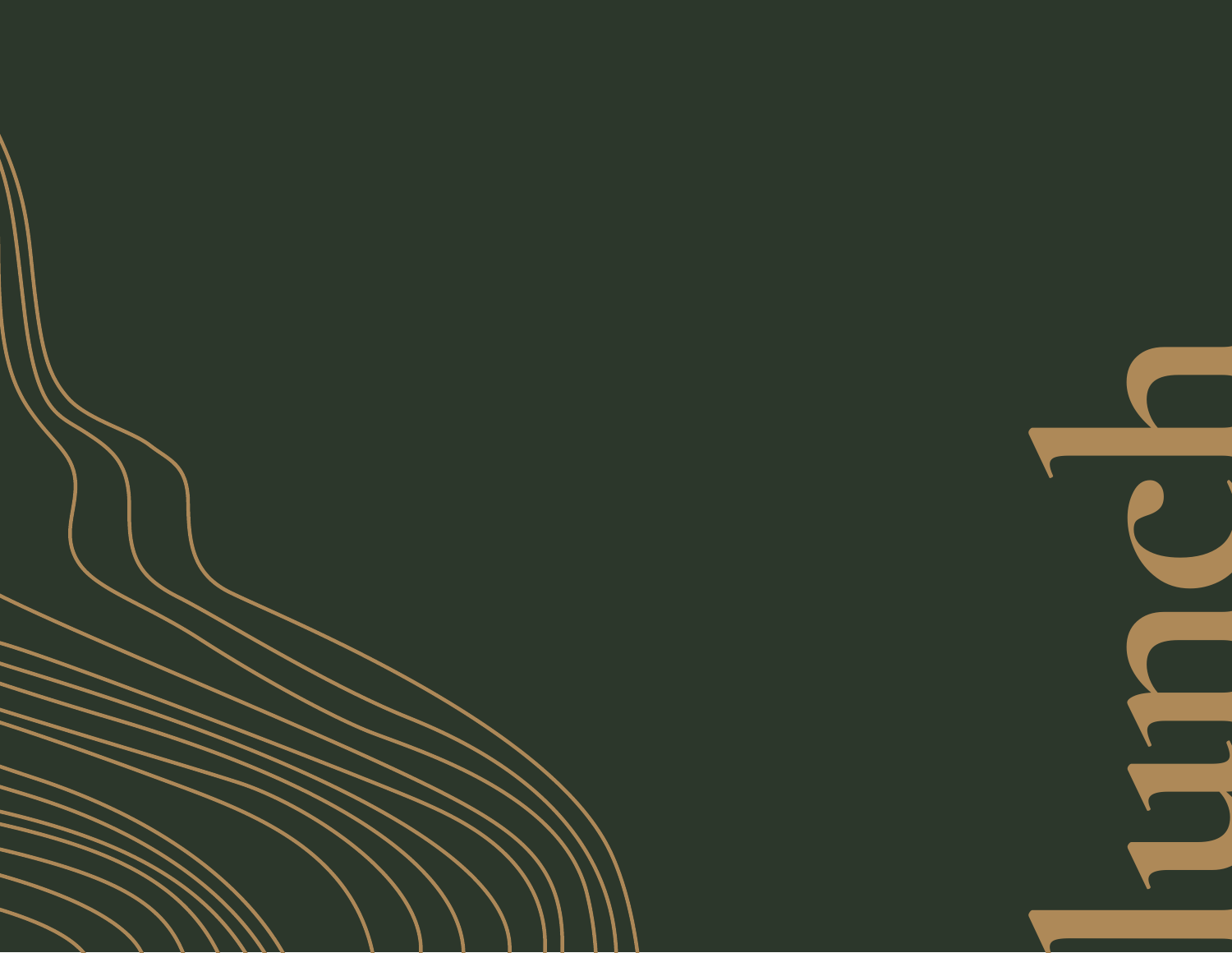